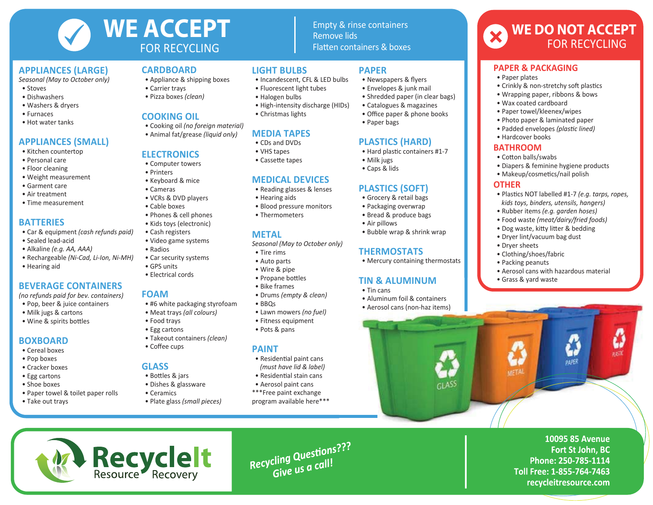

#### **APPLIANCES (LARGE)**

*Seasonal (May to October only)*

- Stoves
- Dishwashers
- Washers & dryers
- Furnaces
- Hot water tanks

## **APPLIANCES (SMALL)**

- Kitchen countertop
- Personal care
- Floor cleaning
- Weight measurement
- Garment care
- Air treatment
- Time measurement

### **BATTERIES**

- Car & equipment *(cash refunds paid)*
- Sealed lead-acid
- Alkaline *(e.g. AA, AAA)*
- Rechargeable *(Ni-Cad, Li-Ion, Ni-MH)*
- Hearing aid

### **BEVERAGE CONTAINERS**

*(no refunds paid for bev. containers)*

- Pop, beer & juice containers • Milk jugs & cartons
- Wine & spirits bottles

### **BOXBOARD**

- Cereal boxes
- Pop boxes
- Cracker boxes
- Egg cartons
- Shoe boxes
- Paper towel & toilet paper rolls
- Take out trays

### **CARDBOARD**

- Appliance & shipping boxes
- Carrier trays
- Pizza boxes *(clean)*

#### **COOKING OIL**

- Cooking oil *(no foreign material)*
- Animal fat/grease *(liquid only)*

### **ELECTRONICS**

- Computer towers
- Printers
- Keyboard & mice
- Cameras
- VCRs & DVD players
- Cable boxes
- Phones & cell phones
- Kids toys (electronic)
- Cash registers
- Video game systems
- Radios
- Car security systems
- GPS units
- Electrical cords

#### **FOAM**

- #6 white packaging styrofoam
- Meat trays *(all colours)*
- Food trays
- Egg cartons
- Takeout containers *(clean)* • Coffee cups
- 

#### **GLASS**

**RecycleIt**<br>Resource Recovery

- Bottles & jars
- Dishes & glassware
- Ceramics
- Plate glass *(small pieces)*

### **LIGHT BULBS**

• Incandescent, CFL & LED bulbs

Fla�en containers & boxes

**PAPER**

• Paper bags

 • Milk jugs • Caps & lids

• Air pillows

• Tin cans

 • Newspapers & flyers • Envelopes & junk mail • Shredded paper (in clear bags) • Catalogues & magazines • Office paper & phone books

**PLASTICS (HARD)** • Hard plastic containers #1-7

**PLASTICS (SOFT)** • Grocery & retail bags • Packaging overwrap • Bread & produce bags

**THERMOSTATS**

**TIN & ALUMINUM**

 • Aluminum foil & containers • Aerosol cans (non-haz items)

 $\sim$  ASS

• Bubble wrap & shrink wrap

• Mercury containing thermostats

Remove lids

**PAPER & PACKAGING**

 • Wax coated cardboard • Paper towel/kleenex/wipes • Photo paper & laminated paper • Padded envelopes *(plastic lined)*

 • Hardcover books **BATHROOM** • Cotton balls/swabs

**OTHER**

 • Dryer sheets • Clothing/shoes/fabric • Packing peanuts

**UFTA** 

• Grass & yard waste

• Crinkly & non-stretchy soft plastics • Wrapping paper, ribbons & bows

**WE DO NOT ACCEPT**

FOR RECYCLING

 • Diapers & feminine hygiene products • Makeup/cosmetics/nail polish

• Aerosol cans with hazardous material

paper

**10095 85 Avenue** 

Phone: 250-785-1114 Toll Free: 1-855-764-7463 recycleitresource.com

Fort St John, BC

n ett.

 • Plas�cs NOT labelled #1-7 *(e.g. tarps, ropes, kids toys, binders, utensils, hangers)* • Rubber items *(e.g. garden hoses)* • Food waste *(meat/dairy/fried foods)* • Dog waste, kitty litter & bedding • Dryer lint/vacuum bag dust

• Paper plates

- Fluorescent light tubes
- Halogen bulbs
- High-intensity discharge (HIDs)
- Christmas lights

# **MEDIA TAPES**

- CDs and DVDs
- VHS tapes
- Cassette tapes

### **MEDICAL DEVICES**

- Reading glasses & lenses
- Hearing aids
- Blood pressure monitors
- Thermometers

### **METAL**

*Seasonal (May to October only)*

- Tire rims
- Auto parts
- Wire & pipe
- Propane bottles
- Bike frames
- Drums *(empty & clean)*
- BBQs
- Lawn mowers *(no fuel)*
- Fitness equipment
- Pots & pans

### **PAINT**

- Residential paint cans *(must have lid & label)*
- Residential stain cans
- Aerosol paint cans
- \*\*\*Free paint exchange program available here\*\*\*

Recycling Questions???

cling Questions<br>Give us a call!